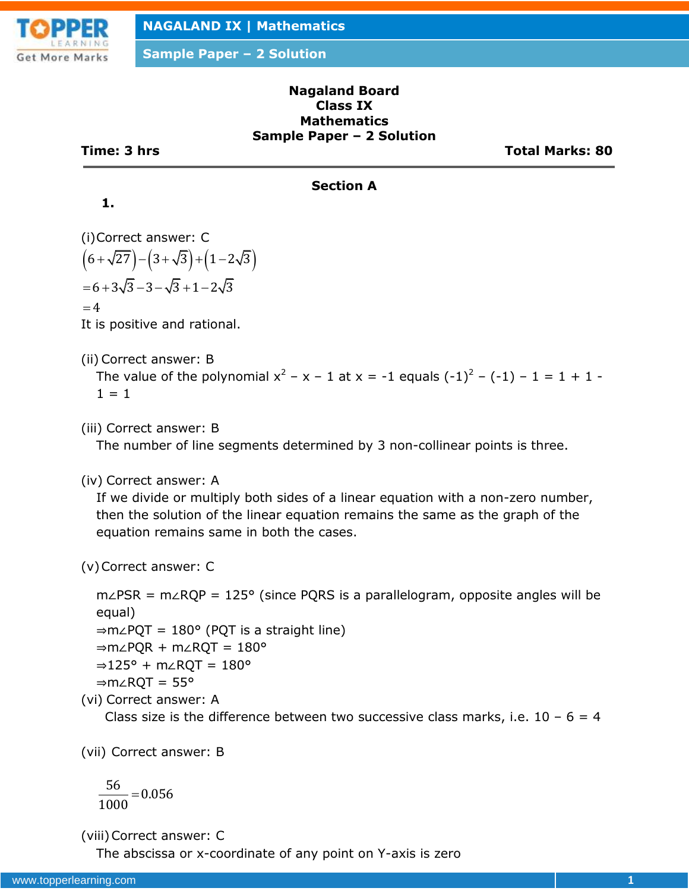

**Sample Paper – 2 Solution**

### **Nagaland Board Class IX Mathematics Sample Paper – 2 Solution**

**Time: 3 hrs Total Marks: 80**

## **Section A**

## **1.**

(i)Correct answer: C  $(6 + \sqrt{27}) - (3 + \sqrt{3}) + (1 - 2\sqrt{3})$  $= 6 + 3\sqrt{3} - 3 - \sqrt{3} + 1 - 2\sqrt{3}$  $=4$ 

It is positive and rational.

(ii) Correct answer: B

The value of the polynomial  $x^2 - x - 1$  at  $x = -1$  equals  $(-1)^2 - (-1) - 1 = 1 + 1 1 = 1$ 

(iii) Correct answer: B

The number of line segments determined by 3 non-collinear points is three.

(iv) Correct answer: A

If we divide or multiply both sides of a linear equation with a non-zero number, then the solution of the linear equation remains the same as the graph of the equation remains same in both the cases.

(v)Correct answer: C

m∠PSR = m∠RQP = 125° (since PQRS is a parallelogram, opposite angles will be equal)

⇒m∠PQT = 180° (PQT is a straight line)

⇒m∠PQR + m∠RQT = 180°

⇒125° + m∠RQT = 180°

$$
\Rightarrow m \angle RQT = 55^{\circ}
$$

(vi) Correct answer: A

Class size is the difference between two successive class marks, i.e.  $10 - 6 = 4$ 

(vii) Correct answer: B

$$
\frac{56}{1000} = 0.056
$$

(viii)Correct answer: C

The abscissa or x-coordinate of any point on Y-axis is zero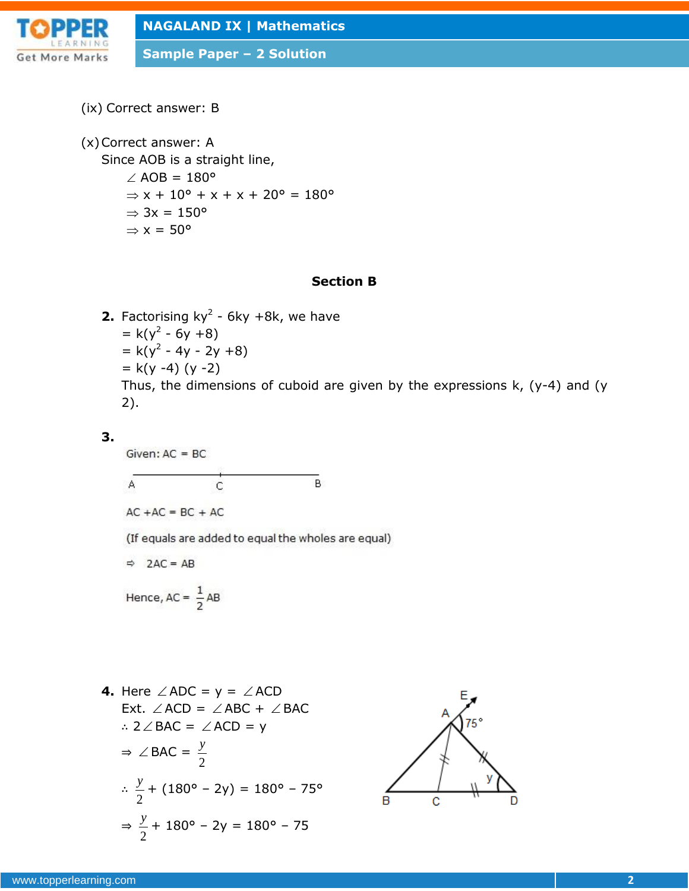

**Sample Paper – 2 Solution**

(ix) Correct answer: B

(x)Correct answer: A

Since AOB is a straight line,

 $\angle$  AOB = 180°  $\Rightarrow$  x + 10 $\degree$  + x + x + 20 $\degree$  = 180 $\degree$  $\Rightarrow$  3x = 150°  $\Rightarrow$  x = 50 $^{\circ}$ 

### **Section B**

**2.** Factorising  $ky^2$  - 6ky +8k, we have  $= k(y^2 - 6y + 8)$  $= k(y^2 - 4y - 2y + 8)$  $= k(y -4) (y -2)$ Thus, the dimensions of cuboid are given by the expressions k, (y-4) and (y 2).

### **3.**

Given:  $AC = BC$ 

$$
\overbrace{A\qquad \qquad C\qquad \qquad B}
$$

 $AC + AC = BC + AC$ 

(If equals are added to equal the wholes are equal)

 $\Rightarrow$  2AC = AB

Hence, 
$$
AC = \frac{1}{2}AB
$$

**4.** Here  $\angle$  ADC =  $y = \angle$  ACD Ext.  $\angle$  ACD =  $\angle$  ABC +  $\angle$  BAC ∴ 2  $\angle$  BAC =  $\angle$  ACD = y  $\Rightarrow$   $\angle$  BAC = 2 *y* ∴ 2  $\frac{y}{x}$  + (180° – 2y) = 180° – 75° ⇒ 2  $\frac{y}{x}$  + 180° – 2y = 180° – 75

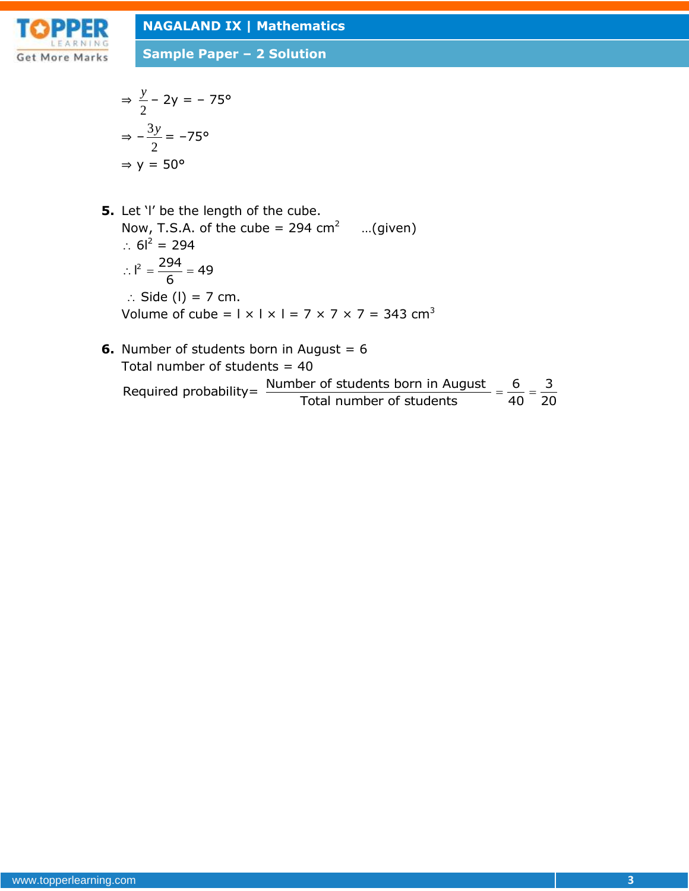

**Sample Paper – 2 Solution**

$$
\Rightarrow \frac{y}{2} - 2y = -75^{\circ}
$$

$$
\Rightarrow -\frac{3y}{2} = -75^{\circ}
$$

$$
\Rightarrow y = 50^{\circ}
$$

- **5.** Let 'I' be the length of the cube. Now, T.S.A. of the cube = 294 cm<sup>2</sup> ...(given)  $\therefore$  6<sup>2</sup> = 294  $I^2 = \frac{294}{6} = 49$ 6  $\therefore$   $\vert^2 = \frac{294}{5} = 4$  $\therefore$  Side (I) = 7 cm. Volume of cube =  $1 \times 1 \times 1 = 7 \times 7 \times 7 = 343$  cm<sup>3</sup>
- **6.** Number of students born in August = 6 Total number of students  $= 40$ Number of students born in August = 6<br>Total number of students = 40<br>Required probability=  $\frac{\text{Number of students born in August}}{\text{Total number of students}} = \frac{6}{40} = \frac{3}{20}$ August = 6<br>40<br>Jer of students born in August =  $\frac{6}{40} = \frac{3}{20}$  $=\frac{6}{40}=\frac{3}{20}$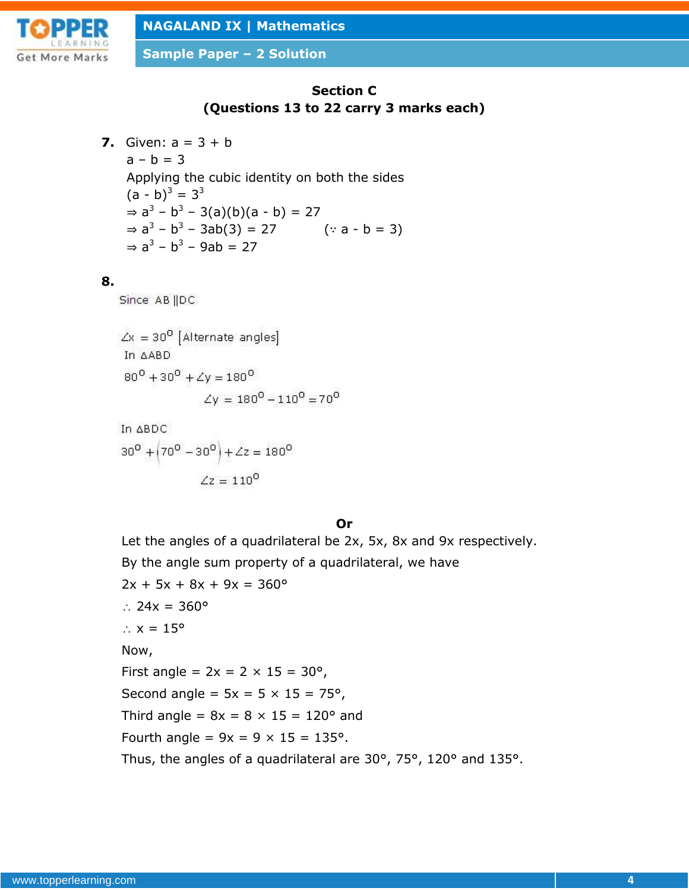

**Sample Paper – 2 Solution**

# **Section C (Questions 13 to 22 carry 3 marks each)**

**7.** Given:  $a = 3 + b$  $a - b = 3$ Applying the cubic identity on both the sides  $(a - b)^3 = 3^3$  $\Rightarrow$  a<sup>3</sup> - b<sup>3</sup> - 3(a)(b)(a - b) = 27  $\Rightarrow$  a<sup>3</sup> – b<sup>3</sup> – 3ab(3) = 27 (∵ a – b = 3)  $\Rightarrow$  a<sup>3</sup> – b<sup>3</sup> – 9ab = 27

### **8.**

Since AB ||DC

 $\angle x = 30^{\circ}$  [Alternate angles] In AABD  $80^0 + 30^0 + 2y = 180^0$  $\angle y = 180^0 - 110^0 = 70^0$ 

In 
$$
\triangle BDC
$$
  
30<sup>0</sup> +  $(70^0 - 30^0)$  +  $\angle z = 180^0$   
 $\angle z = 110^0$ 

**Or**

Let the angles of a quadrilateral be 2x, 5x, 8x and 9x respectively. By the angle sum property of a quadrilateral, we have  $2x + 5x + 8x + 9x = 360^{\circ}$ ∴ 24x =  $360^{\circ}$  $\therefore$  x = 15 $^{\circ}$ Now, First angle =  $2x = 2 \times 15 = 30^{\circ}$ , Second angle =  $5x = 5 \times 15 = 75^{\circ}$ , Third angle =  $8x = 8 \times 15 = 120^{\circ}$  and Fourth angle =  $9x = 9 \times 15 = 135^{\circ}$ . Thus, the angles of a quadrilateral are 30°, 75°, 120° and 135°.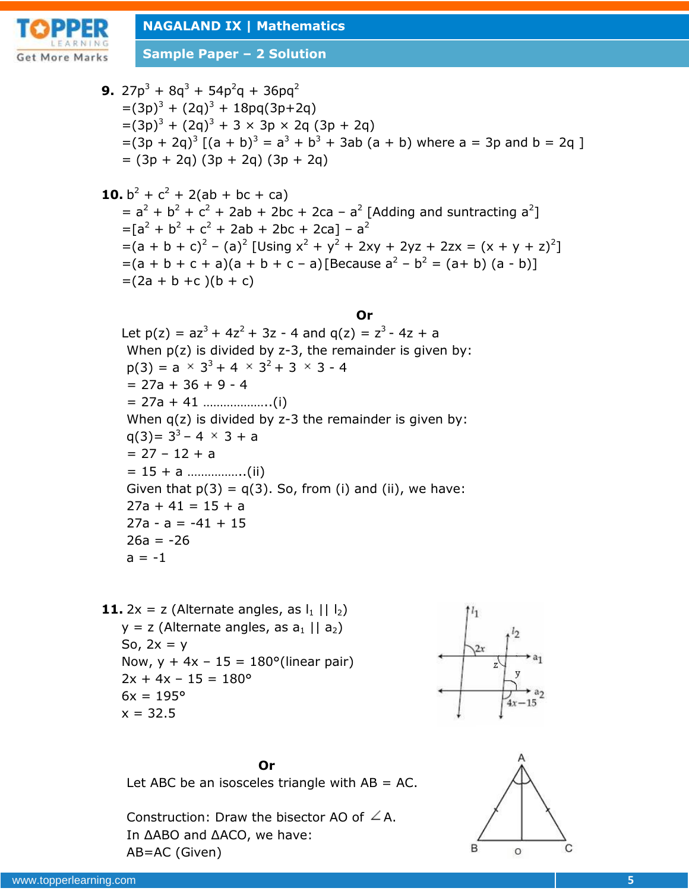

**Sample Paper – 2 Solution**

9. 
$$
27p^3 + 8q^3 + 54p^2q + 36pq^2
$$
  
\n $= (3p)^3 + (2q)^3 + 18pq(3p+2q)$   
\n $= (3p + 2q)^3 [(a + b)^3 = a^3 + b^3 + 3ab (a + b) where a = 3p and b = 2q]$   
\n $= (3p + 2q)^3 [(a + b)^3 = a^3 + b^3 + 3ab (a + b) where a = 3p and b = 2q]$   
\n $= (3p + 2q)(3p + 2q)(3p + 2q)$   
\n10.  $b^2 + c^2 + 2(ab + bc + ca)$   
\n $= a^2 + b^2 + c^2 + 2ab + 2bc + 2ca - a^2 [Adding and subtracting a^2]$   
\n $= [a^2 + b^2 + c^2 + 2ab + 2bc + 2ca] - a^2$   
\n $= (a + b + c) - (a)^2 [Using x^2 + y^2 + 2xy + 2yz + 2zx = (x + y + z)^2]$   
\n $= (a + b + c + a)(a + b + c - a)[Because a^2 - b^2 = (a + b)(a - b)]$   
\n $= (2a + b + c)(b + c)$   
\nLet p(z) =  $az^3 + 4z^2 + 3z - 4$  and q(z) =  $z^3 - 4z + a$   
\nWhen p(z) is divided by z-3, the remainder is given by:  
\np(3) =  $a \times 3^3 + 4 \times 3^2 + 3 \times 3 - 4$   
\n $= 27a + 36 + 9 - 4$   
\n $= 27a + 36 + 9 - 4$   
\n $= 27a + 36 + 9 - 4$   
\n $= 27a + 36 + 9 - 4$   
\n $= 27a + 11 + 15 + a$   
\n $= 27a + 11 + 15 + a$   
\n $= 27a + 11 + 15 + a$   
\n $= 27a + 11 + 15 + a$   
\n $= 27a + 11 + 15 + a$   
\n $= 27a + 11 + 15 + a$   
\n

 $6x = 195^{\circ}$  $x = 32.5$ 

 $2x + 4x - 15 = 180^{\circ}$ 



**Or**

Let ABC be an isosceles triangle with  $AB = AC$ .

Construction: Draw the bisector AO of  $\angle A$ . In ΔABO and ΔACO, we have: AB=AC (Given)

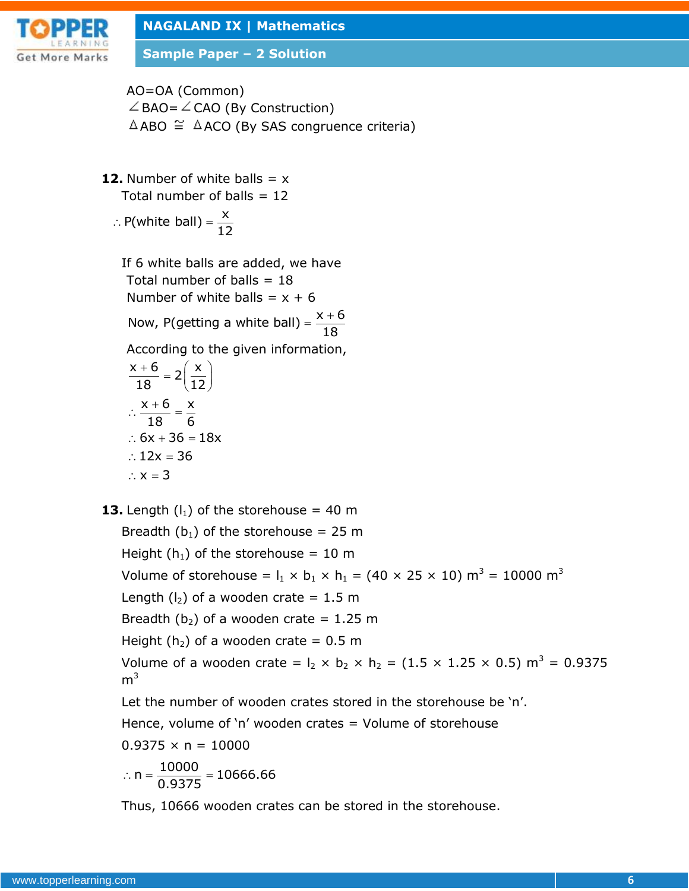

**Sample Paper – 2 Solution**

AO=OA (Common)  $\angle$  BAO=  $\angle$  CAO (By Construction)  $\triangle$ ABO  $\cong$   $\triangle$ ACO (By SAS congruence criteria)

**12.** Number of white balls  $= x$ Total number of balls  $= 12$ 

$$
\therefore P(\text{white ball}) = \frac{x}{12}
$$

If 6 white balls are added, we have Total number of balls  $= 18$ Number of white balls =  $x + 6$ Number of white balls =  $x + 6$ <br>Now, P(getting a white ball) =  $\frac{x + 6}{10}$ 18  $=\frac{x+}{x+1}$ According to the given information,  $\frac{x+6}{12} = 2\left(\frac{x}{12}\right)$  $18 - 2(12)$  $x + 6$  x 18 6 ∴  $6x + 36 = 18x$  $\therefore$  12x = 36  $\therefore$  x = 3  $+6$   $\lambda$   $(x)$  $=2\left(\frac{\lambda}{12}\right)$  $\therefore \frac{x+6}{12} = \frac{y}{4}$ **13.** Length  $(l_1)$  of the storehouse = 40 m Breadth ( $b_1$ ) of the storehouse = 25 m Height ( $h_1$ ) of the storehouse = 10 m Volume of storehouse =  $I_1 \times I_1 \times I_1 = (40 \times 25 \times 10)$  m<sup>3</sup> = 10000 m<sup>3</sup> Length  $(l_2)$  of a wooden crate = 1.5 m Breadth (b<sub>2</sub>) of a wooden crate = 1.25 m Height ( $h_2$ ) of a wooden crate = 0.5 m

Volume of a wooden crate =  $I_2 \times I_2 \times I_1 = (1.5 \times 1.25 \times 0.5)$  m<sup>3</sup> = 0.9375  $m<sup>3</sup>$ 

Let the number of wooden crates stored in the storehouse be 'n'.

Hence, volume of 'n' wooden crates  $=$  Volume of storehouse

$$
0.9375 \times n = 10000
$$

$$
\therefore n = \frac{10000}{0.9375} = 10666.66
$$

Thus, 10666 wooden crates can be stored in the storehouse.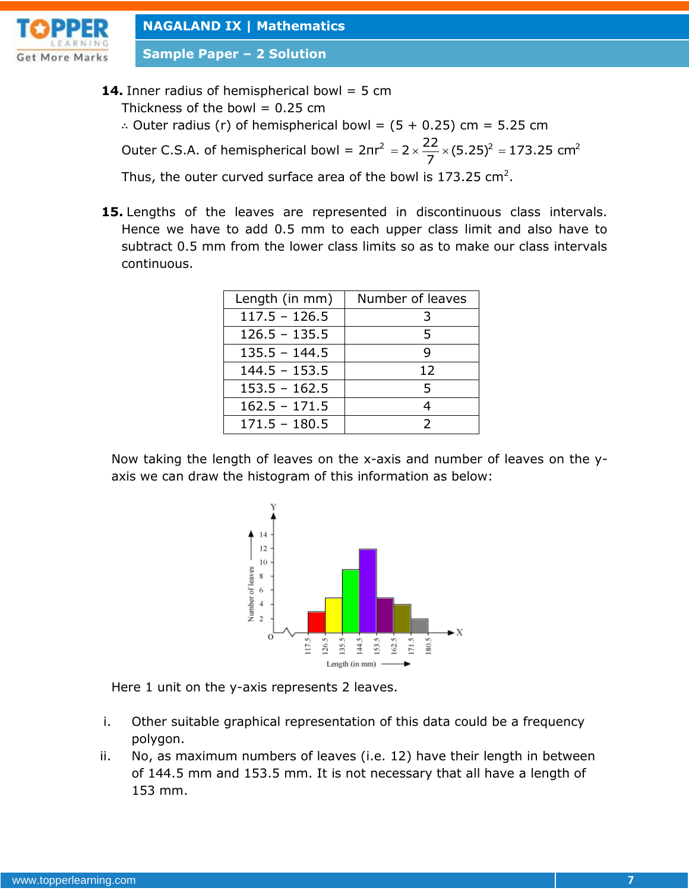

**Sample Paper – 2 Solution**

**14.** Inner radius of hemispherical bowl = 5 cm

Thickness of the bowl  $= 0.25$  cm

∴ Outer radius (r) of hemispherical bowl =  $(5 + 0.25)$  cm = 5.25 cm Outer C.S.A. of hemispherical bowl =  $2\pi r^2$  $= 2 \times \frac{22}{7} \times (5.25)^2 = 173.25$  cm<sup>2</sup>

Thus, the outer curved surface area of the bowl is 173.25 cm<sup>2</sup>.

**15.** Lengths of the leaves are represented in discontinuous class intervals. Hence we have to add 0.5 mm to each upper class limit and also have to subtract 0.5 mm from the lower class limits so as to make our class intervals continuous.

| Length (in mm)  | Number of leaves |  |  |
|-----------------|------------------|--|--|
| $117.5 - 126.5$ | 3                |  |  |
| $126.5 - 135.5$ | 5                |  |  |
| $135.5 - 144.5$ | q                |  |  |
| $144.5 - 153.5$ | 12               |  |  |
| $153.5 - 162.5$ | 5                |  |  |
| $162.5 - 171.5$ | 4                |  |  |
| $171.5 - 180.5$ | $\mathcal{P}$    |  |  |

Now taking the length of leaves on the x-axis and number of leaves on the yaxis we can draw the histogram of this information as below:



Here 1 unit on the y-axis represents 2 leaves.

- i. Other suitable graphical representation of this data could be a frequency polygon.
- ii. No, as maximum numbers of leaves (i.e. 12) have their length in between of 144.5 mm and 153.5 mm. It is not necessary that all have a length of 153 mm.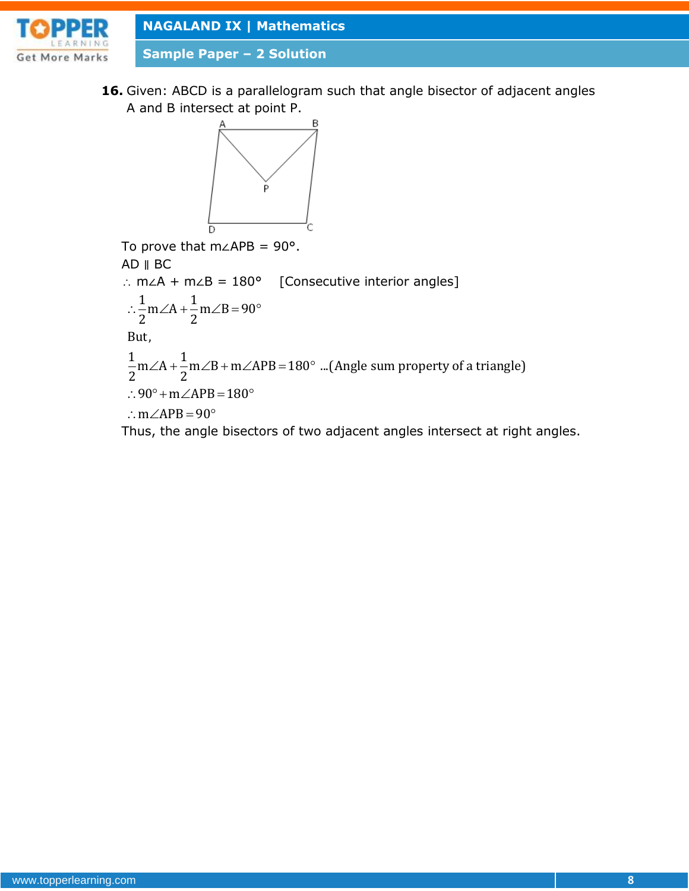

**Sample Paper – 2 Solution**

**16.** Given: ABCD is a parallelogram such that angle bisector of adjacent angles A and B intersect at point P.



To prove that m∠APB = 90°. AD ∥ BC ∴ m∠A + m∠B =  $180^\circ$  [Consecutive interior angles]  $\ln B$ <br>
m∠A + m∠B = 180<br>  $\frac{1}{2}$ m∠A +  $\frac{1}{2}$ m∠B = 90  $m\angle A + m$ .<br> $\frac{1}{2}m\angle A + \frac{1}{2}$ But, ::  $-\frac{1}{2}$ m $\angle A + \frac{1}{2}$ m $\angle B = 90^\circ$ <br>But,<br> $\frac{1}{2}$ m $\angle A + \frac{1}{2}$ m $\angle B + m\angle APB = 180^\circ$  ...(Angle sum property of a triangle) But,<br> $\frac{1}{2}$  m  $\angle A + \frac{1}{2}$ <br> $\therefore$  90% + m  $m\angle A + \frac{1}{2}m\angle B + m\angle$ <br>90° + m $\angle APB = 180$  $m\angle A + \frac{m}{2}m\angle$ <br>90° + m $\angle A$ PF<br>m $\angle A$ PB = 90 AD || BC<br>: m∠A + m∠B = 180° [Conse<br>:: $\frac{1}{2}$ m∠A +  $\frac{1}{2}$ m∠B = 90° 2<br>
,<br>
∠A +  $\frac{1}{2}$ m∠B + m∠APB = 180° ...(Angle s  $\frac{1}{2}m\angle A + \frac{1}{2}m\angle B + m\angle APB = 180^{\circ}$ <br>
.. 90° + m $\angle APB = 180^{\circ}$  $-\frac{m\angle A + m\angle B + m\angle APB}{2}$ <br>
∴ 90° + m∠APB = 180°<br>
∴ m∠APB = 90°

Thus, the angle bisectors of two adjacent angles intersect at right angles.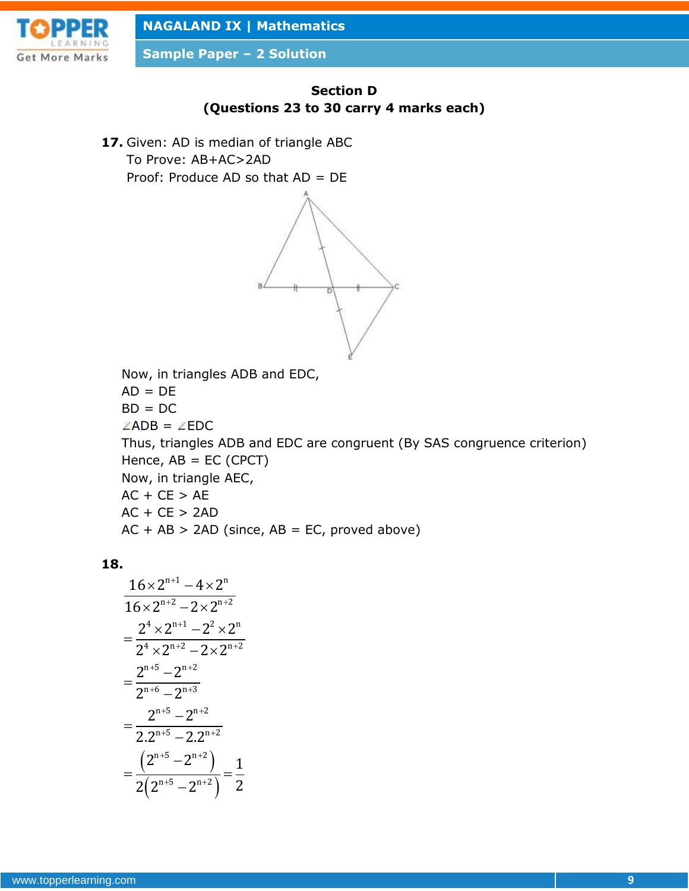

**Sample Paper – 2 Solution**



**17.** Given: AD is median of triangle ABC To Prove: AB+AC>2AD Proof: Produce AD so that AD = DE



Now, in triangles ADB and EDC,  $AD = DE$  $BD = DC$  $\angle$ ADB =  $\angle$ EDC Thus, triangles ADB and EDC are congruent (By SAS congruence criterion) Hence,  $AB = EC$  (CPCT) Now, in triangle AEC,  $AC + CE > AE$  $AC + CE > 2AD$  $AC + AB > 2AD$  (since,  $AB = EC$ , proved above)

### **18.**

$$
\frac{16 \times 2^{n+1} - 4 \times 2^n}{16 \times 2^{n+2} - 2 \times 2^{n+2}}
$$
\n
$$
= \frac{2^4 \times 2^{n+1} - 2^2 \times 2^n}{2^4 \times 2^{n+2} - 2 \times 2^{n+2}}
$$
\n
$$
= \frac{2^{n+5} - 2^{n+2}}{2^{n+6} - 2^{n+3}}
$$
\n
$$
= \frac{2^{n+5} - 2^{n+2}}{2 \cdot 2^{n+5} - 2 \cdot 2^{n+2}}
$$
\n
$$
= \frac{(2^{n+5} - 2^{n+2})}{2(2^{n+5} - 2^{n+2})} = \frac{1}{2}
$$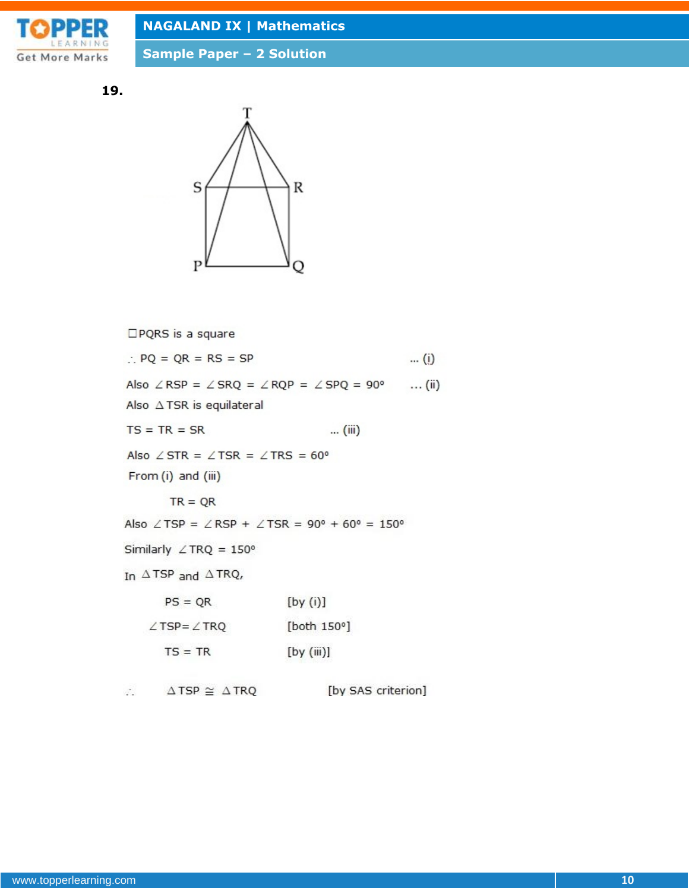

**Sample Paper – 2 Solution**

**19.**



□PQRS is a square  $\therefore$  PQ = QR = RS = SP  $\ldots$  (i) Also  $\angle$  RSP =  $\angle$  SRQ =  $\angle$  RQP =  $\angle$  SPQ = 90°  $\ldots$  (ii) Also  $\triangle$  TSR is equilateral  $TS = TR = SR$ ... (iii) Also  $\angle$  STR =  $\angle$  TSR =  $\angle$  TRS = 60° From (i) and (iii)  $TR = QR$ Also  $\angle$ TSP =  $\angle$ RSP +  $\angle$ TSR = 90° + 60° = 150° Similarly  $\angle$  TRQ = 150° In  $\triangle$  TSP and  $\triangle$  TRQ,  $PS = QR$  $[by (i)]$ [both 150°]  $\angle$ TSP= $\angle$ TRQ  $TS = TR$  $[by (iii)]$ 

[by SAS criterion]  $\triangle$  TSP  $\cong$   $\triangle$  TRQ  $\mathcal{L}_{\mathcal{A}}$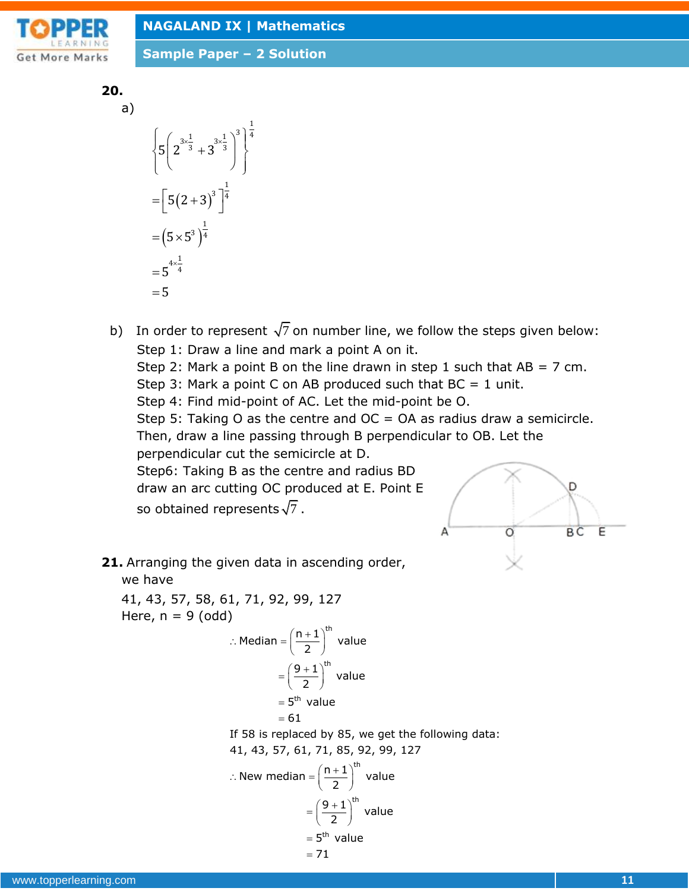

**Sample Paper – 2 Solution**

$$
\begin{array}{c} \textbf{20.} \\ \textbf{a)} \end{array}
$$

 $=\left[5(2+3)^3\right]^{\frac{1}{4}}$  $=(5\times5^3)^{\frac{1}{4}}$  $x = \frac{1}{2}$   $3x =$  $=5^{4\times}$  $\left\{5\left(2^{3\times\frac{1}{3}}+3^{3\times\frac{1}{3}}\right)^3\right\}^{\frac{1}{4}}$  $\begin{bmatrix} 1 & 1 \\ 1 & 1 \end{bmatrix}$  5  $5\left(2^{3\times\frac{1}{3}}+3^{3\times\frac{1}{3}}\right)^3\left|^{\frac{1}{4}}$  $5 \times 5^3 \overline{)^4}$  $5^{4 \times \frac{1}{4}}$ 

- b) In order to represent  $\sqrt{7}$  on number line, we follow the steps given below: Step 1: Draw a line and mark a point A on it. Step 2: Mark a point B on the line drawn in step 1 such that  $AB = 7$  cm. Step 3: Mark a point C on AB produced such that  $BC = 1$  unit. Step 4: Find mid-point of AC. Let the mid-point be O. Step 5: Taking O as the centre and  $OC = OA$  as radius draw a semicircle. Then, draw a line passing through B perpendicular to OB. Let the perpendicular cut the semicircle at D. Step6: Taking B as the centre and radius BD draw an arc cutting OC produced at E. Point E D so obtained represents  $\sqrt{7}$  . A BC E Ö
- **21.** Arranging the given data in ascending order, we have

41, 43, 57, 58, 61, 71, 92, 99, 127 Here,  $n = 9$  (odd)

 th th n 1 Median value 2 9 1 value 2 5 value

$$
= 5^{th} \text{ Vá}
$$

$$
= 61
$$

If 58 is replaced by 85, we get the following data:

41, 43, 57, 61, 71, 85, 92, 99, 127  
\n∴ New median = 
$$
\left(\frac{n+1}{2}\right)^{th}
$$
 value  
\n=  $\left(\frac{9+1}{2}\right)^{th}$  value  
\n= 5<sup>th</sup> value  
\n= 71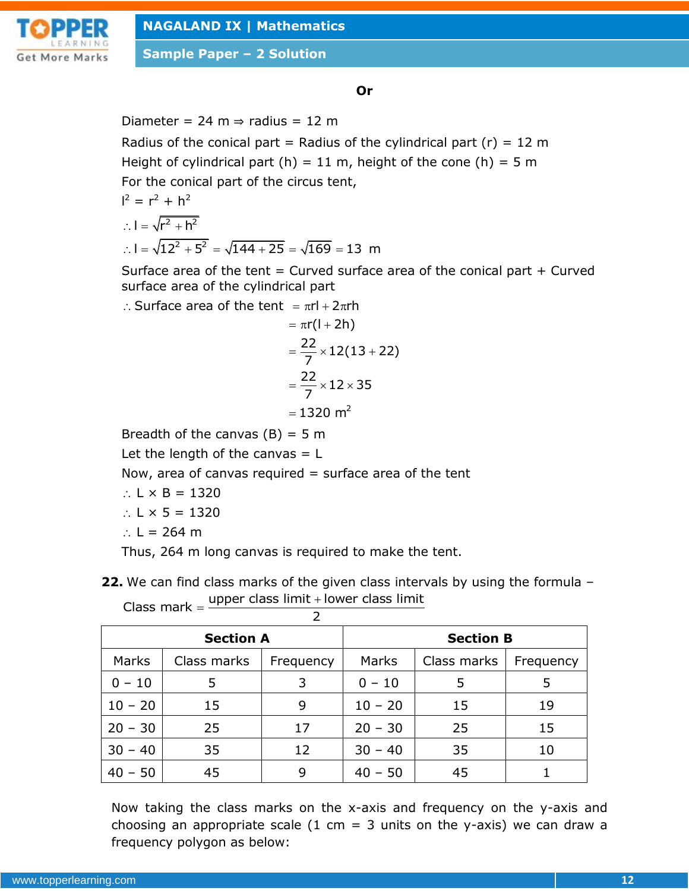

**Sample Paper – 2 Solution**

## **Or**

Diameter = 24 m  $\Rightarrow$  radius = 12 m

Radius of the conical part = Radius of the cylindrical part (r) = 12 m Height of cylindrical part (h) = 11 m, height of the cone (h) = 5 m For the conical part of the circus tent,

$$
I2 = r2 + h2
$$
  
∴ I =  $\sqrt{r2 + h2}$   
∴ I =  $\sqrt{122 + 52}$  =  $\sqrt{144 + 25}$  =  $\sqrt{169}$  = 13 m

Surface area of the tent  $=$  Curved surface area of the conical part  $+$  Curved surface area of the cylindrical part<br>  $\therefore$  Surface area of the tent  $\pi r l + 2\pi rh$ 

$$
= \pi r l + 2\pi r h
$$
  
= πr(l + 2h)  
=  $\frac{22}{7}$  × 12(13 + 22)  
=  $\frac{22}{7}$  × 12 × 35  
= 1320 m<sup>2</sup>

Breadth of the canvas  $(B) = 5$  m

Let the length of the canvas  $= L$ 

Now, area of canvas required  $=$  surface area of the tent

- $\therefore$  L  $\times$  B = 1320
- $\therefore$  L  $\times$  5 = 1320
- ∴  $L = 264$  m

Thus, 264 m long canvas is required to make the tent.

**22.** We can find class marks of the given class intervals by using the formula – We can find class marks of the given class inter<br>Class mark =  $\frac{\text{upper class limit} + \text{lower class limit}}{2}$ 

 $\mathcal{D}$ 

| <b>Section A</b> |             |           | <b>Section B</b> |             |           |  |  |
|------------------|-------------|-----------|------------------|-------------|-----------|--|--|
| Marks            | Class marks | Frequency | Marks            | Class marks | Frequency |  |  |
| $0 - 10$         | 5           | 3         | $0 - 10$         | 5           | 5         |  |  |
| $10 - 20$        | 15          | 9         | $10 - 20$        | 15          | 19        |  |  |
| $20 - 30$        | 25          | 17        | $20 - 30$        | 25          | 15        |  |  |
| $30 - 40$        | 35          | 12        | $30 - 40$        | 35          | 10        |  |  |
| $40 - 50$        | 45          | 9         | $40 - 50$        | 45          |           |  |  |

Now taking the class marks on the x-axis and frequency on the y-axis and choosing an appropriate scale (1 cm = 3 units on the y-axis) we can draw a frequency polygon as below: